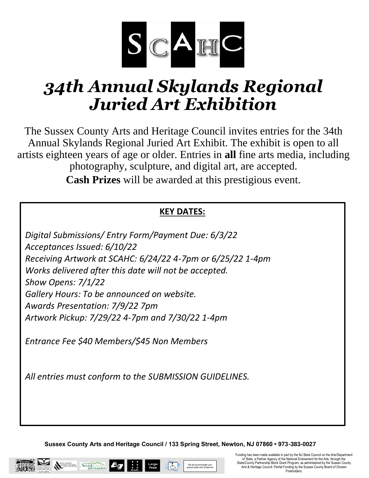

# *34th Annual Skylands Regional Juried Art Exhibition*

The Sussex County Arts and Heritage Council invites entries for the 34th Annual Skylands Regional Juried Art Exhibit. The exhibit is open to all artists eighteen years of age or older. Entries in **all** fine arts media, including photography, sculpture, and digital art, are accepted. **Cash Prizes** will be awarded at this prestigious event.

### **KEY DATES:**

*Digital Submissions/ Entry Form/Payment Due: 6/3/22 Acceptances Issued: 6/10/22 Receiving Artwork at SCAHC: 6/24/22 4-7pm or 6/25/22 1-4pm Works delivered after this date will not be accepted. Show Opens: 7/1/22 Gallery Hours: To be announced on website. Awards Presentation: 7/9/22 7pm Artwork Pickup: 7/29/22 4-7pm and 7/30/22 1-4pm*

*Entrance Fee \$40 Members/\$45 Non Members*

*All entries must conform to the SUBMISSION GUIDELINES.*

**Sussex County Arts and Heritage Council / 133 Spring Street, Newton, NJ 07860 • 973-383-0027** 

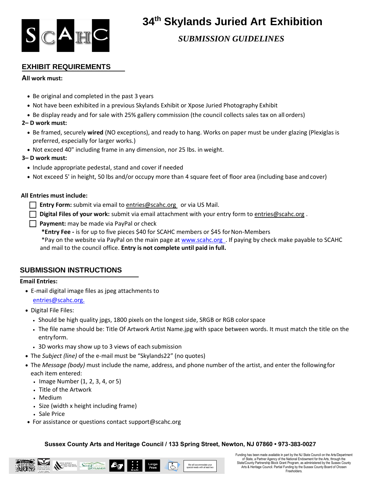

### **34 th Skylands Juried Art Exhibition**

*SUBMISSION GUIDELINES*

#### **EXHIBIT REQUIREMENTS**

#### **All work must:**

- Be original and completed in the past 3 years
- Not have been exhibited in a previous Skylands Exhibit or Xpose Juried Photography Exhibit
- Be display ready and for sale with 25% gallery commission (the council collects sales tax on all orders)
- **2– D work must:**
	- Be framed, securely **wired** (NO exceptions), and ready to hang. Works on paper must be under glazing (Plexiglas is preferred, especially for larger works.)
	- Not exceed 40" including frame in any dimension, nor 25 lbs. in weight.

#### **3– D work must:**

- Include appropriate pedestal, stand and cover if needed
- Not exceed 5' in height, 50 lbs and/or occupy more than 4 square feet of floor area (including base andcover)

#### **All Entries must include:**

**Entry Form:** submit via email to [entries@scahc.org](mailto:entries@scahc.org) or via US Mail.

- **Digital Files of your work:** submit via email attachment with your entry form to [entries@scahc.org](mailto:entries@scahc.org).
- **Payment:** may be made via PayPal or check

**\*Entry Fee -** is for up to five pieces \$40 for SCAHC members or \$45 forNon-Members

\*Pay on the website via PayPal on the main page at www.scahc.org . If paying by check make payable to SCAHC and mail to the council office. **Entry is not complete until paid in full.**

#### **SUBMISSION INSTRUCTIONS**

#### **Email Entries:**

- E-mail digital image files as jpeg attachments to [entries@scahc.org.](mailto:entries@scahc.org.)
- Digital File Files:
	- Should be high quality jpgs, 1800 pixels on the longest side, SRGB or RGB colorspace
	- The file name should be: Title Of Artwork Artist Name.jpg with space between words. It must match the title on the entryform.
	- 3D works may show up to 3 views of each submission
- The *Subject (line)* of the e-mail must be "Skylands22" (no quotes)
- The *Message (body)* must include the name, address, and phone number of the artist, and enter the followingfor each item entered:
	- Image Number (1, 2, 3, 4, or 5)
	- Title of the Artwork
	- Medium
	- Size (width x height including frame)
	- Sale Price
- For assistance or questions contact support@scahc.org

#### **Sussex County Arts and Heritage Council / 133 Spring Street, Newton, NJ 07860 • 973-383-0027**



Funding has been made available in part by the NJ State Council on the Arts/Department of State, a Partner Agency of the National Endowment for the Arts, through the State/County Partnership Block Grant Program, as administered by the Sussex County Arts & Heritage Council. Partial Funding by the Sussex County Board of Chosen Freeholders.